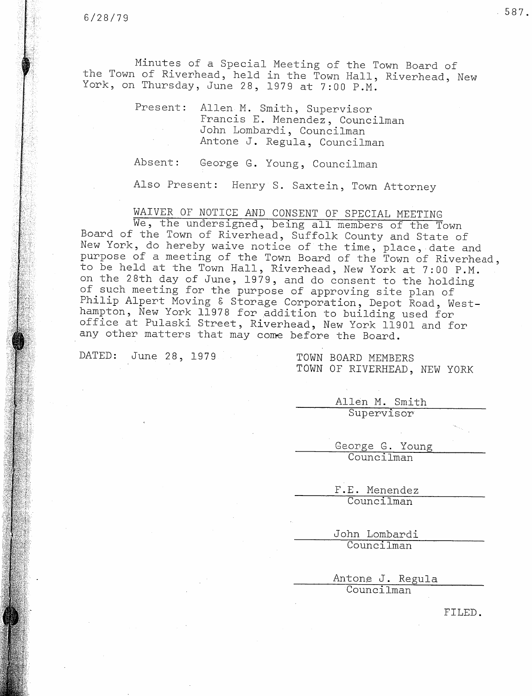Minutes of a Special Meeting of the Town Board of the Town of Riverhead, held in the Town Hall, Riverhead, New York, on Thursday, June 28, 1979 at 7:00 P.M.

> Present: Allen M. Smith, Supervisor Francis E. Menendez, Councilman John Lombardi, Councilman Antone J. Regula, Councilman

Absent: George G. Young, Councilman

Also Present: Henry S. Saxtein, Town Attorney

WAIVER OF NOTICE AND CONSENT OF SPECIAL MEETING

We, the undersigned, being all members of the Town Board of the Town of Riverhead, Suffolk County and State of New York, do hereby waive notice of the time, place, date and purpose of a meeting of the Town Board of the Town of Riverhead, to be held at the Town Hall, Riverhead, New York at 7:00 P.M. on the 28th day of June, 1979, and do consent to the holding of such meeting for the purpose of approving site plan of Philip Alpert Moving & Storage Corporation, Depot Road, Westhampton, New York 11978 for addition to building used for office at Pulaski Street, Riverhead, New York 11901 and for any other matters that may come before the Board.

DATED: June 28, 1979 TOWN BOARD MEMBERS

TOWN OF RIVERHEAD, NEW YORK

Allen M. Smith Supervisor

George G. Young Councilman

F.E. Menendez Councilman

John Lombardi Councilman

Antone J. Regula Councilman

FILED.